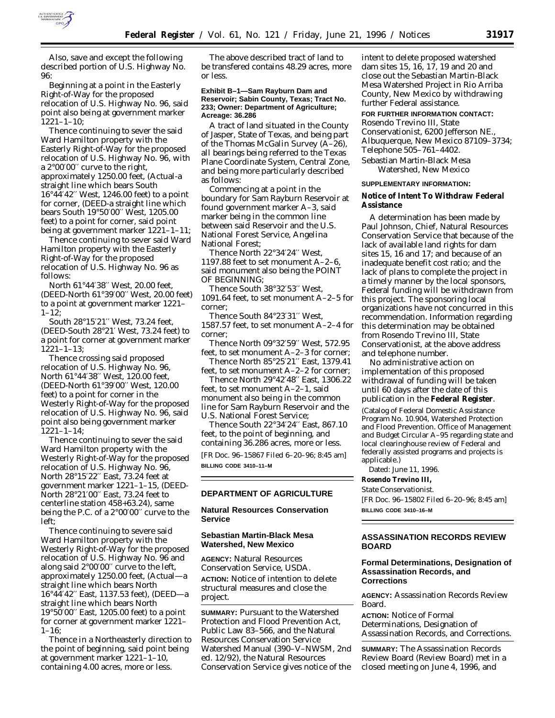

Also, save and except the following described portion of U.S. Highway No. 96:

Beginning at a point in the Easterly Right-of-Way for the proposed relocation of U.S. Highway No. 96, said point also being at government marker 1221–1–10;

Thence continuing to sever the said Ward Hamilton property with the Easterly Right-of-Way for the proposed relocation of U.S. Highway No. 96, with a 2°00′00′′ curve to the right, approximately 1250.00 feet, (Actual-a straight line which bears South 16°44′42′′ West, 1246.00 feet) to a point for corner, (DEED-a straight line which bears South 19°50′00′′ West, 1205.00 feet) to a point for corner, said point being at government marker 1221–1–11;

Thence continuing to sever said Ward Hamilton property with the Easterly Right-of-Way for the proposed relocation of U.S. Highway No. 96 as follows:

North 61°44′38′′ West, 20.00 feet, (DEED-North 61°39′00′′ West, 20.00 feet) to a point at government marker 1221–  $1-12$ ;

South 28°15′21′′ West, 73.24 feet, (DEED-South 28°21′ West, 73.24 feet) to a point for corner at government marker 1221–1–13;

Thence crossing said proposed relocation of U.S. Highway No. 96, North 61°44′38′′ West, 120.00 feet, (DEED-North 61°39′00′′ West, 120.00 feet) to a point for corner in the Westerly Right-of-Way for the proposed relocation of U.S. Highway No. 96, said point also being government marker 1221–1–14;

Thence continuing to sever the said Ward Hamilton property with the Westerly Right-of-Way for the proposed relocation of U.S. Highway No. 96, North 28°15′22′′ East, 73.24 feet at government marker 1221–1–15, (DEED-North 28°21′00′′ East, 73.24 feet to centerline station 458+63.24), same being the P.C. of a 2°00′00′′ curve to the left;

Thence continuing to severe said Ward Hamilton property with the Westerly Right-of-Way for the proposed relocation of U.S. Highway No. 96 and along said 2°00′00′′ curve to the left, approximately 1250.00 feet, (Actual—a straight line which bears North 16°44′42′′ East, 1137.53 feet), (DEED—a straight line which bears North 19°50′00′′ East, 1205.00 feet) to a point for corner at government marker 1221–  $1-16;$ 

Thence in a Northeasterly direction to the point of beginning, said point being at government marker 1221–1–10, containing 4.00 acres, more or less.

The above described tract of land to be transfered contains 48.29 acres, more or less.

### **Exhibit B–1—Sam Rayburn Dam and Reservoir; Sabin County, Texas; Tract No. 233; Owner: Department of Agriculture; Acreage: 36.286**

A tract of land situated in the County of Jasper, State of Texas, and being part of the Thomas McGalin Survey (A–26), all bearings being referred to the Texas Plane Coordinate System, Central Zone, and being more particularly described as follows:

Commencing at a point in the boundary for Sam Rayburn Reservoir at found government marker A–3, said marker being in the common line between said Reservoir and the U.S. National Forest Service, Angelina National Forest;

Thence North 22°34′24′′ West, 1197.88 feet to set monument A–2–6, said monument also being the POINT OF BEGINNING;

Thence South 38°32′53′′ West, 1091.64 feet, to set monument A–2–5 for corner;

Thence South 84°23'31" West, 1587.57 feet, to set monument A–2–4 for corner;

Thence North 09°32′59′′ West, 572.95 feet, to set monument A–2–3 for corner;

Thence North 85°25′21′′ East, 1379.41 feet, to set monument A–2–2 for corner;

Thence North 29°42′48′′ East, 1306.22 feet, to set monument A–2–1, said monument also being in the common line for Sam Rayburn Reservoir and the U.S. National Forest Service;

Thence South 22°34′24′′ East, 867.10 feet, to the point of beginning, and containing 36.286 acres, more or less.

[FR Doc. 96–15867 Filed 6–20–96; 8:45 am] **BILLING CODE 3410–11–M**

# **DEPARTMENT OF AGRICULTURE**

# **Natural Resources Conservation Service**

# **Sebastian Martin-Black Mesa Watershed, New Mexico**

**AGENCY:** Natural Resources Conservation Service, USDA. **ACTION:** Notice of intention to delete structural measures and close the project.

**SUMMARY: Pursuant to the Watershed** Protection and Flood Prevention Act, Public Law 83–566, and the Natural Resources Conservation Service Watershed Manual (390–V–NWSM, 2nd ed. 12/92), the Natural Resources Conservation Service gives notice of the

intent to delete proposed watershed dam sites 15, 16, 17, 19 and 20 and close out the Sebastian Martin-Black Mesa Watershed Project in Rio Arriba County, New Mexico by withdrawing further Federal assistance.

### **FOR FURTHER INFORMATION CONTACT:**

Rosendo Trevino III, State Conservationist, 6200 Jefferson NE., Albuquerque, New Mexico 87109–3734; Telephone 505–761–4402.

Sebastian Martin-Black Mesa Watershed, New Mexico

#### **SUPPLEMENTARY INFORMATION:**

**Notice of Intent To Withdraw Federal Assistance**

A determination has been made by Paul Johnson, Chief, Natural Resources Conservation Service that because of the lack of available land rights for dam sites 15, 16 and 17; and because of an inadequate benefit cost ratio; and the lack of plans to complete the project in a timely manner by the local sponsors, Federal funding will be withdrawn from this project. The sponsoring local organizations have not concurred in this recommendation. Information regarding this determination may be obtained from Rosendo Trevino III, State Conservationist, at the above address and telephone number.

No administrative action on implementation of this proposed withdrawal of funding will be taken until 60 days after the date of this publication in the **Federal Register**.

(Catalog of Federal Domestic Assistance Program No. 10.904, Watershed Protection and Flood Prevention. Office of Management and Budget Circular A–95 regarding state and local clearinghouse review of Federal and federally assisted programs and projects is applicable.)

Dated: June 11, 1996.

**Rosendo Trevino III,**

*State Conservationist.*

[FR Doc. 96–15802 Filed 6–20–96; 8:45 am] **BILLING CODE 3410–16–M**

# **ASSASSINATION RECORDS REVIEW BOARD**

# **Formal Determinations, Designation of Assassination Records, and Corrections**

**AGENCY:** Assassination Records Review Board.

**ACTION:** Notice of Formal Determinations, Designation of Assassination Records, and Corrections.

**SUMMARY:** The Assassination Records Review Board (Review Board) met in a closed meeting on June 4, 1996, and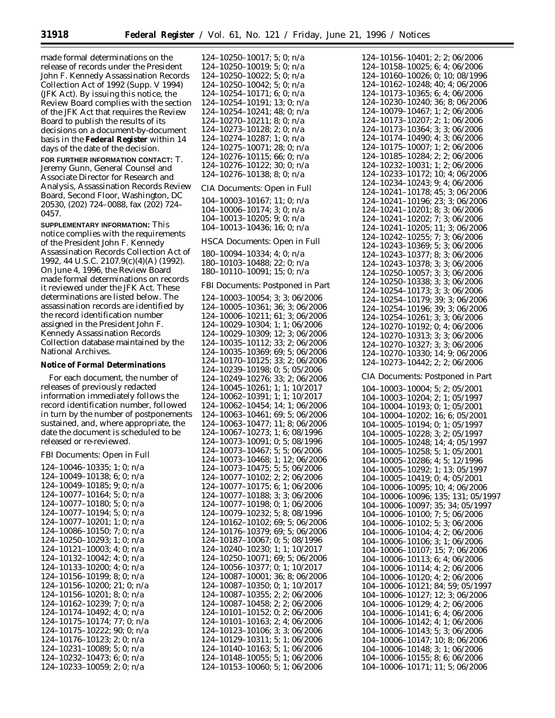made formal determinations on the release of records under the President John F. Kennedy Assassination Records Collection Act of 1992 (Supp. V 1994) (JFK Act). By issuing this notice, the Review Board complies with the section of the JFK Act that requires the Review Board to publish the results of its decisions on a document-by-document basis in the **Federal Register** within 14 days of the date of the decision.

**FOR FURTHER INFORMATION CONTACT:** T. Jeremy Gunn, General Counsel and Associate Director for Research and Analysis, Assassination Records Review Board, Second Floor, Washington, DC 20530, (202) 724–0088, fax (202) 724– 0457.

**SUPPLEMENTARY INFORMATION:** This notice complies with the requirements of the President John F. Kennedy Assassination Records Collection Act of 1992, 44 U.S.C. 2107.9(c)(4)(A) (1992). On June 4, 1996, the Review Board made formal determinations on records it reviewed under the JFK Act. These determinations are listed below. The assassination records are identified by the record identification number assigned in the President John F. Kennedy Assassination Records Collection database maintained by the National Archives.

## **Notice of Formal Determinations**

For each document, the number of releases of previously redacted information immediately follows the record identification number, followed in turn by the number of postponements sustained, and, where appropriate, the date the document is scheduled to be released or re-reviewed.

## *FBI Documents: Open in Full*

124–10046–10335; 1; 0; n/a 124–10049–10138; 6; 0; n/a 124–10049–10185; 9; 0; n/a 124–10077–10164; 5; 0; n/a 124–10077–10180; 5; 0; n/a 124–10077–10194; 5; 0; n/a 124–10077–10201; 1; 0; n/a 124–10086–10150; 7; 0; n/a 124–10250–10293; 1; 0; n/a 124–10121–10003; 4; 0; n/a 124–10132–10042; 4; 0; n/a 124–10133–10200; 4; 0; n/a 124–10156–10199; 8; 0; n/a 124–10156–10200; 21; 0; n/a 124–10156–10201; 8; 0; n/a 124–10162–10239; 7; 0; n/a 124–10174–10492; 4; 0; n/a 124–10175–10174; 77; 0; n/a 124–10175–10222; 90; 0; n/a 124–10176–10123; 2; 0; n/a 124–10231–10089; 5; 0; n/a 124–10232–10473; 6; 0; n/a 124–10233–10059; 2; 0; n/a

124–10250–10017; 5; 0; n/a 124–10250–10019; 5; 0; n/a 124–10250–10022; 5; 0; n/a 124–10250–10042; 5; 0; n/a 124–10254–10171; 6; 0; n/a 124–10254–10191; 13; 0; n/a 124–10254–10241; 48; 0; n/a 124–10270–10211; 8; 0; n/a 124–10273–10128; 2; 0; n/a 124–10274–10287; 1; 0; n/a 124–10275–10071; 28; 0; n/a 124–10276–10115; 66; 0; n/a 124–10276–10122; 30; 0; n/a 124–10276–10138; 8; 0; n/a *CIA Documents: Open in Full* 104–10003–10167; 11; 0; n/a 104–10006–10174; 3; 0; n/a 104–10013–10205; 9; 0; n/a 104–10013–10436; 16; 0; n/a *HSCA Documents: Open in Full* 180–10094–10334; 4; 0; n/a 180–10103–10488; 22; 0; n/a 180–10110–10091; 15; 0; n/a *FBI Documents: Postponed in Part* 124–10003–10054; 3; 3; 06/2006 124–10005–10361; 36; 3; 06/2006 124–10006–10211; 61; 3; 06/2006 124–10029–10304; 1; 1; 06/2006 124–10029–10309; 12; 3; 06/2006 124–10035–10112; 33; 2; 06/2006 124–10035–10369; 69; 5; 06/2006 124–10170–10125; 33; 2; 06/2006 124–10239–10198; 0; 5; 05/2006 124–10249–10276; 33; 2; 06/2006 124–10045–10261; 1; 1; 10/2017 124–10062–10391; 1; 1; 10/2017 124–10062–10454; 14; 1; 06/2006 124–10063–10461; 69; 5; 06/2006 124–10063–10477; 11; 8; 06/2006 124–10067–10273; 1; 6; 08/1996 124–10073–10091; 0; 5; 08/1996 124–10073–10467; 5; 5; 06/2006 124–10073–10468; 1; 12; 06/2006 124–10073–10475; 5; 5; 06/2006 124–10077–10102; 2; 2; 06/2006 124–10077–10175; 6; 1; 06/2006 124–10077–10188; 3; 3; 06/2006 124–10077–10198; 0; 1; 06/2006 124–10079–10232; 5; 8; 08/1996 124–10162–10102; 69; 5; 06/2006 124–10176–10379; 69; 5; 06/2006 124–10187–10067; 0; 5; 08/1996 124–10240–10230; 1; 1; 10/2017 124–10250–10071; 69; 5; 06/2006 124–10056–10377; 0; 1; 10/2017 124–10087–10001; 36; 8; 06/2006 124–10087–10350; 0; 1; 10/2017 124–10087–10355; 2; 2; 06/2006 124–10087–10458; 2; 2; 06/2006 124–10101–10152; 0; 2; 06/2006 124–10101–10163; 2; 4; 06/2006 124–10123–10106; 3; 3; 06/2006 124–10129–10311; 5; 1; 06/2006 124–10140–10163; 5; 1; 06/2006 124–10148–10055; 5; 1; 06/2006 124–10153–10060; 5; 1; 06/2006

124–10156–10401; 2; 2; 06/2006 124–10158–10025; 6; 4; 06/2006 124–10160–10026; 0; 10; 08/1996 124–10162–10248; 40; 4; 06/2006 124–10173–10365; 6; 4; 06/2006 124–10230–10240; 36; 8; 06/2006 124–10079–10467; 1; 2; 06/2006 124–10173–10207; 2; 1; 06/2006 124–10173–10364; 3; 3; 06/2006 124–10174–10490; 4; 3; 06/2006 124–10175–10007; 1; 2; 06/2006 124–10185–10284; 2; 2; 06/2006 124–10232–10031; 1; 2; 06/2006 124–10233–10172; 10; 4; 06/2006 124–10234–10243; 9; 4; 06/2006 124–10241–10178; 45; 3; 06/2006 124–10241–10196; 23; 3; 06/2006 124–10241–10201; 8; 3; 06/2006 124–10241–10202; 7; 3; 06/2006 124–10241–10205; 11; 3; 06/2006 124–10242–10255; 7; 3; 06/2006 124–10243–10369; 5; 3; 06/2006 124–10243–10377; 8; 3; 06/2006 124–10243–10378; 3; 3; 06/2006 124–10250–10057; 3; 3; 06/2006 124–10250–10338; 3; 3; 06/2006 124–10254–10173; 3; 3; 06/2006 124–10254–10179; 39; 3; 06/2006 124–10254–10196; 39; 3; 06/2006 124–10254–10261; 3; 3; 06/2006 124–10270–10192; 0; 4; 06/2006 124–10270–10313; 3; 3; 06/2006 124–10270–10327; 3; 3; 06/2006 124–10270–10330; 14; 9; 06/2006 124–10273–10442; 2; 2; 06/2006 *CIA Documents: Postponed in Part* 104–10003–10004; 5; 2; 05/2001 104–10003–10204; 2; 1; 05/1997 104–10004–10193; 0; 1; 05/2001 104–10004–10202; 16; 6; 05/2001 104–10005–10194; 0; 1; 05/1997 104–10005–10228; 3; 2; 05/1997 104–10005–10248; 14; 4; 05/1997 104–10005–10258; 5; 1; 05/2001 104–10005–10286; 4; 5; 12/1996 104–10005–10292; 1; 13; 05/1997 104–10005–10419; 0; 4; 05/2001 104–10006–10095; 10; 4; 06/2006 104–10006–10096; 135; 131; 05/1997 104–10006–10097; 35; 34; 05/1997 104–10006–10100; 7; 5; 06/2006 104–10006–10102; 5; 3; 06/2006 104–10006–10104; 4; 2; 06/2006 104–10006–10106; 3; 1; 06/2006 104–10006–10107; 15; 7; 06/2006 104–10006–10113; 6; 4; 06/2006 104–10006–10114; 4; 2; 06/2006 104–10006–10120; 4; 2; 06/2006 104–10006–10121; 84; 59; 05/1997 104–10006–10127; 12; 3; 06/2006 104–10006–10129; 4; 2; 06/2006 104–10006–10141; 6; 4; 06/2006 104–10006–10142; 4; 1; 06/2006 104–10006–10143; 5; 3; 06/2006 104–10006–10147; 10; 8; 06/2006 104–10006–10148; 3; 1; 06/2006 104–10006–10155; 8; 6; 06/2006 104–10006–10171; 11; 5; 06/2006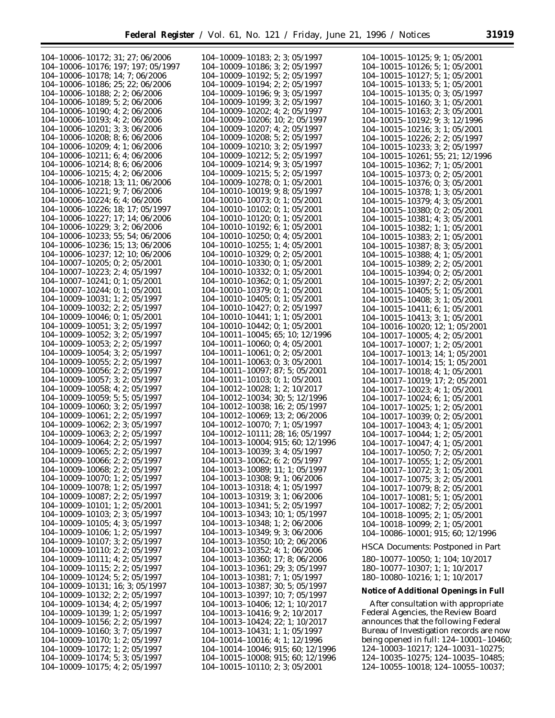▀

| 104-10006-10172; 31; 27; 06/2006      | 104-10009-10183; 2; 3; 05/1997        | 104-10015-10125; 9; 1; 05/2001           |
|---------------------------------------|---------------------------------------|------------------------------------------|
| 104-10006-10176; 197; 197; 05/1997    | 104-10009-10186; 3; 2; 05/1997        | $104-10015-10126$ ; 5; 1; 05/2001        |
|                                       |                                       |                                          |
| 104-10006-10178; 14; 7; 06/2006       | 104-10009-10192; 5; 2; 05/1997        | $104-10015-10127$ ; 5; 1; 05/2001        |
| 104-10006-10186; 25; 22; 06/2006      | 104-10009-10194; 2; 2; 05/1997        | $104-10015-10133$ ; 5; 1; 05/2001        |
| 104-10006-10188; 2; 2; 06/2006        | 104-10009-10196; 9; 3; 05/1997        | $104-10015-10135; 0; 3; 05/1997$         |
| 104-10006-10189; 5; 2; 06/2006        | 104-10009-10199; 3; 2; 05/1997        | 104-10015-10160; 3; 1; 05/2001           |
| $104-10006-10190$ ; 4; 2; 06/2006     | 104-10009-10202; 4; 2; 05/1997        | 104-10015-10163; 2; 3; 05/2001           |
| 104-10006-10193; 4; 2; 06/2006        | 104-10009-10206; 10; 2; 05/1997       | 104-10015-10192; 9; 3; 12/1996           |
| $104-10006-10201$ ; 3; 3; 06/2006     | $104-10009-10207$ ; 4; 2; 05/1997     | $104-10015-10216$ ; 3; 1; 05/2001        |
| 104-10006-10208; 8; 6; 06/2006        | $104-10009-10208$ ; 5; 2; 05/1997     |                                          |
|                                       |                                       | $104-10015-10226$ ; 2; 2; 05/1997        |
| $104-10006-10209$ ; 4; 1; 06/2006     | $104-10009-10210$ ; 3; 2; 05/1997     | 104-10015-10233; 3; 2; 05/1997           |
| $104-10006-10211$ ; 6; 4; 06/2006     | $104-10009-10212$ ; 5; 2; 05/1997     | 104-10015-10261; 55; 21; 12/1996         |
| $104-10006-10214$ ; 8; 6; 06/2006     | $104-10009-10214$ ; 9; 3; 05/1997     | 104-10015-10362; 7; 1; 05/2001           |
| $104-10006-10215$ ; 4; 2; 06/2006     | $104-10009-10215$ ; 5; 2; 05/1997     | $104-10015-10373; 0; 2; 05/2001$         |
| 104-10006-10218; 13; 11; 06/2006      | $104-10009-10278$ ; 0; 1; 05/2001     | $104-10015-10376$ ; 0; 3; 05/2001        |
| 104-10006-10221; 9; 7; 06/2006        | $104-10010-10019$ ; 9; 8; 05/1997     |                                          |
|                                       |                                       | $104-10015-10378$ ; 1; 3; 05/2001        |
| 104-10006-10224; 6; 4; 06/2006        | $104-10010-10073$ ; 0; 1; 05/2001     | $104-10015-10379; 4; 3; 05/2001$         |
| $104-10006-10226$ ; 18; 17; 05/1997   | 104-10010-10102; 0; 1; 05/2001        | $104-10015-10380; 0; 2; 05/2001$         |
| 104-10006-10227; 17; 14; 06/2006      | $104-10010-10120$ ; 0; 1; 05/2001     | $104-10015-10381$ ; 4; 3; 05/2001        |
| 104-10006-10229; 3; 2; 06/2006        | $104-10010-10192$ ; 6; 1; 05/2001     | $104-10015-10382$ ; 1; 1; 05/2001        |
| 104-10006-10233; 55; 54; 06/2006      | $104-10010-10250$ ; 0; 4; 05/2001     | $104-10015-10383; 2; 1; 05/2001$         |
| 104-10006-10236; 15; 13; 06/2006      | $104-10010-10255$ ; 1; 4; 05/2001     |                                          |
|                                       |                                       | 104-10015-10387; 8; 3; 05/2001           |
| 104-10006-10237; 12; 10; 06/2006      | $104-10010-10329$ ; 0; 2; 05/2001     | 104-10015-10388; 4; 1; 05/2001           |
| $104-10007-10205; 0; 2; 05/2001$      | 104-10010-10330; 0; 1; 05/2001        | $104-10015-10389; 2; 2; 05/2001$         |
| $104-10007-10223$ ; 2; 4; 05/1997     | $104-10010-10332$ ; 0; 1; 05/2001     | 104-10015-10394; 0; 2; 05/2001           |
| $104-10007-10241$ ; 0; 1; 05/2001     | $104-10010-10362$ ; 0; 1; 05/2001     | 104-10015-10397; 2; 2; 05/2001           |
| 104-10007-10244; 0; 1; 05/2001        | 104-10010-10379; 0; 1; 05/2001        | $104-10015-10405$ ; 5; 1; 05/2001        |
| $104-10009-10031$ ; 1; 2; 05/1997     | $104-10010-10405$ ; 0; 1; 05/2001     | 104-10015-10408; 3; 1; 05/2001           |
| $104-10009-10032; 2; 2; 05/1997$      | 104-10010-10427; 0; 2; 05/1997        |                                          |
|                                       |                                       | $104-10015-10411$ ; 6; 1; 05/2001        |
| $104-10009-10046$ ; 0; 1; 05/2001     | $104-10010-10441$ ; 1; 1; 05/2001     | $104-10015-10413$ ; 3; 1; 05/2001        |
| $104-10009-10051$ ; 3; 2; 05/1997     | $104-10010-10442; 0; 1; 05/2001$      | 104-10016-10020; 12; 1; 05/2001          |
| $104-10009-10052$ ; 3; 2; 05/1997     | 104-10011-10045; 65; 10; 12/1996      | $104-10017-10005$ ; 4; 2; 05/2001        |
| 104-10009-10053; 2; 2; 05/1997        | $104-10011-10060$ ; 0; 4; 05/2001     | $104-10017-10007$ ; 1; 2; 05/2001        |
| $104-10009-10054$ ; 3; 2; 05/1997     | $104-10011-10061$ ; 0; 2; 05/2001     | 104-10017-10013; 14; 1; 05/2001          |
| $104-10009-10055; 2; 2; 05/1997$      | $104-10011-10063; 0; 3; 05/2001$      | $104-10017-10014$ ; 15; 1; 05/2001       |
| $104-10009-10056$ ; 2; 2; 05/1997     | 104-10011-10097; 87; 5; 05/2001       | $104-10017-10018$ ; 4; 1; 05/2001        |
| $104-10009-10057$ ; 3; 2; 05/1997     | $104-10011-10103; 0; 1; 05/2001$      |                                          |
|                                       |                                       | 104-10017-10019; 17; 2; 05/2001          |
| $104-10009-10058$ ; 4; 2; 05/1997     | 104-10012-10028; 1; 2; 10/2017        | $104-10017-10023$ ; 4; 1; 05/2001        |
| $104 - 10009 - 10059$ ; 5; 5; 05/1997 | 104-10012-10034; 30; 5; 12/1996       | 104-10017-10024; 6; 1; 05/2001           |
| $104-10009-10060; 3; 2; 05/1997$      | 104-10012-10038; 16; 2; 05/1997       | $104-10017-10025$ ; 1; 2; 05/2001        |
| 104-10009-10061; 2; 2; 05/1997        | 104-10012-10069; 13; 2; 06/2006       | 104-10017-10039; 0; 2; 05/2001           |
| 104-10009-10062; 2; 3; 05/1997        | 104-10012-10070; 7; 1; 05/1997        | $104-10017-10043$ ; 4; 1; 05/2001        |
| $104-10009-10063; 2; 2; 05/1997$      | 104-10012-10111; 28; 16; 05/1997      | 104-10017-10044; 1; 2; 05/2001           |
| $104-10009-10064; 2; 2; 05/1997$      | 104-10013-10004; 915; 60; 12/1996     | $104-10017-10047; 4; 1; 05/2001$         |
| 104-10009-10065; 2; 2; 05/1997        | $104 - 10013 - 10039$ ; 3; 4; 05/1997 |                                          |
|                                       |                                       | $104-10017-10050$ ; 7; 2; 05/2001        |
| 104-10009-10066; 2; 2; 05/1997        | $104-10013-10062$ ; 6; 2; 05/1997     | 104-10017-10055; 1; 2; 05/2001           |
| $104-10009-10068$ ; 2; 2; 05/1997     | $104-10013-10089$ ; 11; 1; 05/1997    | $104-10017-10072$ ; 3; 1; 05/2001        |
| $104-10009-10070$ ; 1; 2; 05/1997     | 104-10013-10308; 9; 1; 06/2006        | $104-10017-10075$ ; 3; 2; 05/2001        |
| $104-10009-10078$ ; 1; 2; 05/1997     | $104-10013-10318$ ; 4; 1; 05/1997     | $104-10017-10079$ ; 8; 2; 05/2001        |
| $104-10009-10087; 2; 2; 05/1997$      | 104-10013-10319; 3; 1; 06/2006        | $104-10017-10081$ ; 5; 1; 05/2001        |
| $104-10009-10101; 1; 2; 05/2001$      | $104-10013-10341$ ; 5; 2; 05/1997     | $104-10017-10082; 7; 2; 05/2001$         |
| $104-10009-10103; 2; 3; 05/1997$      | $104-10013-10343$ ; 10; 1; 05/1997    |                                          |
|                                       |                                       | $104-10018-10095; 2; 1; 05/2001$         |
| $104-10009-10105$ ; 4; 3; 05/1997     | 104-10013-10348; 1; 2; 06/2006        | $104-10018-10099$ ; 2; 1; 05/2001        |
| $104-10009-10106$ ; 1; 2; 05/1997     | 104-10013-10349; 9; 3; 06/2006        | 104-10086-10001; 915; 60; 12/1996        |
| $104-10009-10107$ ; 3; 2; 05/1997     | $104-10013-10350$ ; 10; 2; 06/2006    | <b>HSCA Documents: Postponed in Part</b> |
| $104-10009-10110$ ; 2; 2; 05/1997     | $104-10013-10352$ ; 4; 1; 06/2006     |                                          |
| $104-10009-10111$ ; 4; 2; 05/1997     | $104-10013-10360$ ; 17; 8; 06/2006    | 180-10077-10050; 1; 104; 10/2017         |
| $104-10009-10115$ ; 2; 2; 05/1997     | 104-10013-10361; 29; 3; 05/1997       | 180-10077-10307; 1; 1; 10/2017           |
| $104-10009-10124$ ; 5; 2; 05/1997     | $104 - 10013 - 10381$ ; 7; 1; 05/1997 | 180-10080-10216; 1; 1; 10/2017           |
| 104-10009-10131; 16; 3; 05/1997       | 104-10013-10387; 30; 5; 05/1997       |                                          |
| $104-10009-10132; 2; 2; 05/1997$      | $104-10013-10397$ ; 10; 7; 05/1997    | Notice of Additional Openings in Full    |
|                                       |                                       |                                          |
| $104-10009-10134$ ; 4; 2; 05/1997     | $104-10013-10406$ ; 12; 1; 10/2017    | After consultation with appropriate      |
| $104-10009-10139; 1; 2; 05/1997$      | 104-10013-10416; 9; 2; 10/2017        | Federal Agencies, the Review Board       |
| $104-10009-10156$ ; 2; 2; 05/1997     | 104-10013-10424; 22; 1; 10/2017       | announces that the following Federal     |
| $104-10009-10160; 3; 7; 05/1997$      | 104-10013-10431; 1; 1; 05/1997        | Bureau of Investigation records are now  |
| $104-10009-10170; 1; 2; 05/1997$      | $104-10014-10016$ ; 4; 1; 12/1996     | being opened in full: 124-10001-10460;   |
| $104-10009-10172$ ; 1; 2; 05/1997     | 104-10014-10046; 915; 60; 12/1996     | 124-10003-10217; 124-10031-10275;        |
| $104-10009-10174$ ; 5; 3; 05/1997     | 104-10015-10008; 915; 60; 12/1996     | $124-10035-10275$ ; $124-10035-10485$ ;  |
| $104-10009-10175$ ; 4; 2; 05/1997     | $104-10015-10110$ ; 2; 3; 05/2001     | 124-10055-10018; 124-10055-10037;        |
|                                       |                                       |                                          |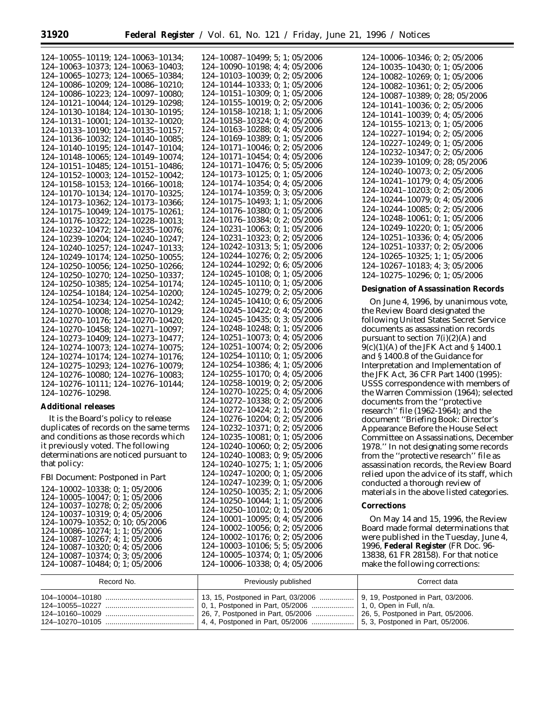124–10087–10484; 0; 1; 05/2006

| $124-10055-10119$ ; $124-10063-10134$ ; | $124 - 10087 - 10499$ ; 5; 1; 05/2006 | $124 - 10006 - 10346$ ; 0; 2; 05/2006      |
|-----------------------------------------|---------------------------------------|--------------------------------------------|
| 124-10063-10373; 124-10063-10403;       | $124 - 10090 - 10198$ ; 4; 4; 05/2006 | $124-10035-10430; 0; 1; 05/2006$           |
| $124-10065-10273$ ; $124-10065-10384$ ; | $124 - 10103 - 10039$ ; 0; 2; 05/2006 | $124 - 10082 - 10269$ ; 0; 1; 05/2006      |
| $124-10086-10209$ ; $124-10086-10210$ ; | $124 - 10144 - 10333$ ; 0; 1; 05/2006 |                                            |
| $124-10086-10223$ ; $124-10097-10080$ ; | $124 - 10151 - 10309$ ; 0; 1; 05/2006 | $124-10082-10361; 0; 2; 05/2006$           |
|                                         |                                       | 124-10087-10389; 0; 28; 05/2006            |
| $124-10121-10044$ ; $124-10129-10298$ ; | $124 - 10155 - 10019$ ; 0; 2; 05/2006 | 124-10141-10036; 0; 2; 05/2006             |
| 124-10130-10184; 124-10130-10195;       | 124-10158-10218; 1; 1; 05/2006        | $124 - 10141 - 10039$ ; 0; 4; 05/2006      |
| $124-10131-10001$ ; $124-10132-10020$ ; | $124 - 10158 - 10324$ ; 0; 4; 05/2006 | $124 - 10155 - 10213$ ; 0; 1; 05/2006      |
| $124-10133-10190; 124-10135-10157;$     | 124-10163-10288; 0; 4; 05/2006        | $124 - 10227 - 10194$ ; 0; 2; 05/2006      |
| 124-10136-10032; 124-10140-10085;       | 124-10169-10389; 0; 1; 05/2006        | $124 - 10227 - 10249$ ; 0; 1; 05/2006      |
| $124-10140-10195$ ; $124-10147-10104$ ; | $124 - 10171 - 10046$ ; 0; 2; 05/2006 | 124-10232-10347; 0; 2; 05/2006             |
| $124-10148-10065$ ; $124-10149-10074$ ; | 124-10171-10454; 0; 4; 05/2006        |                                            |
| $124-10151-10485$ ; $124-10151-10486$ ; | $124 - 10171 - 10476$ ; 0; 5; 05/2006 | 124-10239-10109; 0; 28; 05/2006            |
| $124-10152-10003$ ; $124-10152-10042$ ; | $124 - 10173 - 10125$ ; 0; 1; 05/2006 | $124 - 10240 - 10073$ ; 0; 2; 05/2006      |
| $124-10158-10153$ ; $124-10166-10018$ ; | 124-10174-10354; 0; 4; 05/2006        | $124 - 10241 - 10179$ ; 0; 4; 05/2006      |
| 124-10170-10134; 124-10170-10325;       | 124-10174-10359; 0; 3; 05/2006        | $124 - 10241 - 10203$ ; 0; 2; 05/2006      |
| 124-10173-10362; 124-10173-10366;       | $124 - 10175 - 10493$ ; 1; 1; 05/2006 | $124 - 10244 - 10079$ ; 0; 4; 05/2006      |
| $124-10175-10049; 124-10175-10261;$     | 124-10176-10380; 0; 1; 05/2006        | $124 - 10244 - 10085$ ; 0; 2; 05/2006      |
| 124-10176-10322; 124-10228-10013;       | $124 - 10176 - 10384$ ; 0; 2; 05/2006 | $124 - 10248 - 10061$ ; 0; 1; 05/2006      |
| 124-10232-10472; 124-10235-10076;       | $124 - 10231 - 10063$ ; 0; 1; 05/2006 | $124 - 10249 - 10220$ ; 0; 1; 05/2006      |
|                                         | $124 - 10231 - 10323$ ; 0; 2; 05/2006 | 124-10251-10336; 0; 4; 05/2006             |
| $124-10239-10204$ ; $124-10240-10247$ ; | 124-10242-10313; 5; 1; 05/2006        | 124-10251-10337; 0; 2; 05/2006             |
| $124-10240-10257$ ; $124-10247-10133$ ; | 124-10244-10276; 0; 2; 05/2006        |                                            |
| 124-10249-10174; 124-10250-10055;       |                                       | 124-10265-10325; 1; 1; 05/2006             |
| $124-10250-10056$ ; $124-10250-10266$ ; | $124 - 10244 - 10292$ ; 0; 6; 05/2006 | 124-10267-10183; 4; 3; 05/2006             |
| $124-10250-10270$ ; $124-10250-10337$ ; | 124-10245-10108; 0; 1; 05/2006        | $124 - 10275 - 10296$ ; 0; 1; 05/2006      |
| $124-10250-10385$ ; $124-10254-10174$ ; | $124 - 10245 - 10110$ ; 0; 1; 05/2006 | Designation of Assassination Records       |
| 124-10254-10184; 124-10254-10200;       | 124-10245-10279; 0; 2; 05/2006        |                                            |
| 124-10254-10234; 124-10254-10242;       | 124-10245-10410; 0; 6; 05/2006        | On June 4, 1996, by unanimous vote,        |
| $124-10270-10008$ ; $124-10270-10129$ ; | $124 - 10245 - 10422$ ; 0; 4; 05/2006 | the Review Board designated the            |
| $124-10270-10176$ ; $124-10270-10420$ ; | $124 - 10245 - 10435$ ; 0; 3; 05/2006 | following United States Secret Service     |
| $124-10270-10458$ ; $124-10271-10097$ ; | $124 - 10248 - 10248$ ; 0; 1; 05/2006 | documents as assassination records         |
| 124-10273-10409; 124-10273-10477;       | $124 - 10251 - 10073$ ; 0; 4; 05/2006 | pursuant to section $7(i)(2)(A)$ and       |
| $124-10274-10073$ ; $124-10274-10075$ ; | $124 - 10251 - 10074$ ; 0; 2; 05/2006 | $9(c)(1)(A)$ of the JFK Act and § 1400.1   |
| 124-10274-10174; 124-10274-10176;       | $124 - 10254 - 10110$ ; 0; 1; 05/2006 | and §1400.8 of the Guidance for            |
| 124-10275-10293; 124-10276-10079;       | 124-10254-10386; 4; 1; 05/2006        | Interpretation and Implementation of       |
| $124-10276-10080; 124-10276-10083;$     | $124 - 10255 - 10170$ ; 0; 4; 05/2006 | the JFK Act, 36 CFR Part 1400 (1995):      |
| $124-10276-10111$ ; $124-10276-10144$ ; | 124-10258-10019; 0; 2; 05/2006        | USSS correspondence with members of        |
| 124-10276-10298.                        | $124 - 10270 - 10225$ ; 0; 4; 05/2006 | the Warren Commission (1964); selected     |
|                                         | 124-10272-10338; 0; 2; 05/2006        | documents from the "protective"            |
| <b>Additional releases</b>              | 124-10272-10424; 2; 1; 05/2006        | research" file (1962-1964); and the        |
| It is the Board's policy to release     | $124 - 10276 - 10204$ ; 0; 2; 05/2006 | document "Briefing Book: Director's        |
| duplicates of records on the same terms | 124-10232-10371; 0; 2; 05/2006        | Appearance Before the House Select         |
| and conditions as those records which   | $124 - 10235 - 10081$ ; 0; 1; 05/2006 | Committee on Assassinations, December      |
| it previously voted. The following      | $124 - 10240 - 10060$ ; 0; 2; 05/2006 | 1978." In not designating some records     |
| determinations are noticed pursuant to  | 124-10240-10083; 0; 9; 05/2006        | from the "protective research" file as     |
| that policy:                            | 124-10240-10275; 1; 1; 05/2006        | assassination records, the Review Board    |
|                                         | $124 - 10247 - 10200$ ; 0; 1; 05/2006 | relied upon the advice of its staff, which |
| FBI Document: Postponed in Part         | 124-10247-10239; 0; 1; 05/2006        |                                            |
| 124-10002-10338; 0; 1; 05/2006          |                                       | conducted a thorough review of             |
| $124 - 10005 - 10047$ ; 0; 1; 05/2006   | 124-10250-10035; 2; 1; 05/2006        | materials in the above listed categories.  |
| $124-10037-10278$ ; 0; 2; 05/2006       | 124-10250-10044; 1; 1; 05/2006        | Corrections                                |
| 124-10037-10319; 0; 4; 05/2006          | 124-10250-10102; 0; 1; 05/2006        |                                            |
| 124-10079-10352; 0; 10; 05/2006         | $124-10001-10095$ ; 0; 4; 05/2006     | On May 14 and 15, 1996, the Review         |
| 124-10086-10274; 1; 1; 05/2006          | $124 - 10002 - 10056$ ; 0; 2; 05/2006 | Board made formal determinations that      |
| $124 - 10087 - 10267$ ; 4; 1; 05/2006   | 124-10002-10176; 0; 2; 05/2006        | were published in the Tuesday, June 4,     |
| $124-10087-10320$ ; 0; 4; 05/2006       | 124-10003-10106; 5; 5; 05/2006        | 1996, Federal Register (FR Doc. 96-        |
| 124-10087-10374; 0; 3; 05/2006          | 124-10005-10374; 0; 1; 05/2006        | 13838, 61 FR 28158). For that notice       |

| Record No. | Previously published                                                                                                                                                     | Correct data                       |
|------------|--------------------------------------------------------------------------------------------------------------------------------------------------------------------------|------------------------------------|
|            | 0, 1, Postponed in Part, 05/2006    1, 0, Open in Full, n/a.<br>26, 7, Postponed in Part, 05/2006<br>4, 4, Postponed in Part, 05/2006  5, 3, Postponed in Part, 05/2006. | 26, 5, Postponed in Part, 05/2006. |

make the following corrections:

124–10006–10338; 0; 4; 05/2006